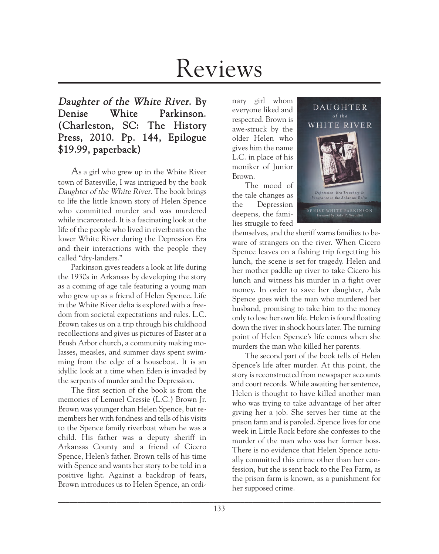# Reviews

# Daughter of the White River. By Denise White Parkinson. (Charleston, SC: The History Press, 2010. Pp. 144, Epilogue \$19.99, paperback)

As a girl who grew up in the White River town of Batesville, I was intrigued by the book Daughter of the White River. The book brings to life the little known story of Helen Spence who committed murder and was murdered while incarcerated. It is a fascinating look at the life of the people who lived in riverboats on the lower White River during the Depression Era and their interactions with the people they called "dry-landers."

Parkinson gives readers a look at life during the 1930s in Arkansas by developing the story as a coming of age tale featuring a young man who grew up as a friend of Helen Spence. Life in the White River delta is explored with a freedom from societal expectations and rules. L.C. Brown takes us on a trip through his childhood recollections and gives us pictures of Easter at a Brush Arbor church, a community making molasses, measles, and summer days spent swimming from the edge of a houseboat. It is an idyllic look at a time when Eden is invaded by the serpents of murder and the Depression.

The first section of the book is from the memories of Lemuel Cressie (L.C.) Brown Jr. Brown was younger than Helen Spence, but remembers her with fondness and tells of his visits to the Spence family riverboat when he was a child. His father was a deputy sheriff in Arkansas County and a friend of Cicero Spence, Helen's father. Brown tells of his time with Spence and wants her story to be told in a positive light. Against a backdrop of fears, Brown introduces us to Helen Spence, an ordi-

nary girl whom everyone liked and respected. Brown is awe-struck by the older Helen who gives him the name L.C. in place of his moniker of Junior Brown.

The mood of the tale changes as the Depression deepens, the families struggle to feed



themselves, and the sheriff warns families to beware of strangers on the river. When Cicero Spence leaves on a fishing trip forgetting his lunch, the scene is set for tragedy. Helen and her mother paddle up river to take Cicero his lunch and witness his murder in a fight over money. In order to save her daughter, Ada Spence goes with the man who murdered her husband, promising to take him to the money only to lose her own life. Helen is found floating down the river in shock hours later. The turning point of Helen Spence's life comes when she murders the man who killed her parents.

The second part of the book tells of Helen Spence's life after murder. At this point, the story is reconstructed from newspaper accounts and court records. While awaiting her sentence, Helen is thought to have killed another man who was trying to take advantage of her after giving her a job. She serves her time at the prison farm and is paroled. Spence lives for one week in Little Rock before she confesses to the murder of the man who was her former boss. There is no evidence that Helen Spence actually committed this crime other than her confession, but she is sent back to the Pea Farm, as the prison farm is known, as a punishment for her supposed crime.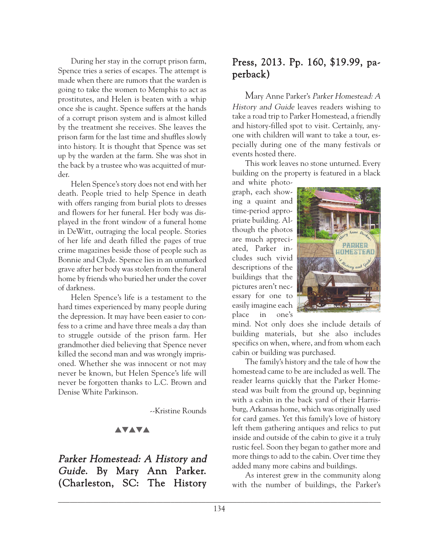During her stay in the corrupt prison farm, Spence tries a series of escapes. The attempt is made when there are rumors that the warden is going to take the women to Memphis to act as prostitutes, and Helen is beaten with a whip once she is caught. Spence suffers at the hands of a corrupt prison system and is almost killed by the treatment she receives. She leaves the prison farm for the last time and shuffles slowly into history. It is thought that Spence was set up by the warden at the farm. She was shot in the back by a trustee who was acquitted of murder.

Helen Spence's story does not end with her death. People tried to help Spence in death with offers ranging from burial plots to dresses and flowers for her funeral. Her body was displayed in the front window of a funeral home in DeWitt, outraging the local people. Stories of her life and death filled the pages of true crime magazines beside those of people such as Bonnie and Clyde. Spence lies in an unmarked grave after her body was stolen from the funeral home by friends who buried her under the cover of darkness.

Helen Spence's life is a testament to the hard times experienced by many people during the depression. It may have been easier to confess to a crime and have three meals a day than to struggle outside of the prison farm. Her grandmother died believing that Spence never killed the second man and was wrongly imprisoned. Whether she was innocent or not may never be known, but Helen Spence's life will never be forgotten thanks to L.C. Brown and Denise White Parkinson.

--Kristine Rounds

## **AVAVA**

## Parker Homestead: A History and Guide. By Mary Ann Parker. (Charleston, SC: The History

## Press, 2013. Pp. 160, \$19.99, paperback)

Mary Anne Parker's Parker Homestead: A History and Guide leaves readers wishing to take a road trip to Parker Homestead, a friendly and history-filled spot to visit. Certainly, anyone with children will want to take a tour, especially during one of the many festivals or events hosted there.

This work leaves no stone unturned. Every building on the property is featured in a black and white photo-

graph, each showing a quaint and time-period appropriate building. Although the photos are much appreciated, Parker includes such vivid descriptions of the buildings that the pictures aren't necessary for one to easily imagine each place in one's



mind. Not only does she include details of building materials, but she also includes specifics on when, where, and from whom each cabin or building was purchased.

The family's history and the tale of how the homestead came to be are included as well. The reader learns quickly that the Parker Homestead was built from the ground up, beginning with a cabin in the back yard of their Harrisburg, Arkansas home, which was originally used for card games. Yet this family's love of history left them gathering antiques and relics to put inside and outside of the cabin to give it a truly rustic feel. Soon they began to gather more and more things to add to the cabin. Over time they added many more cabins and buildings.

As interest grew in the community along with the number of buildings, the Parker's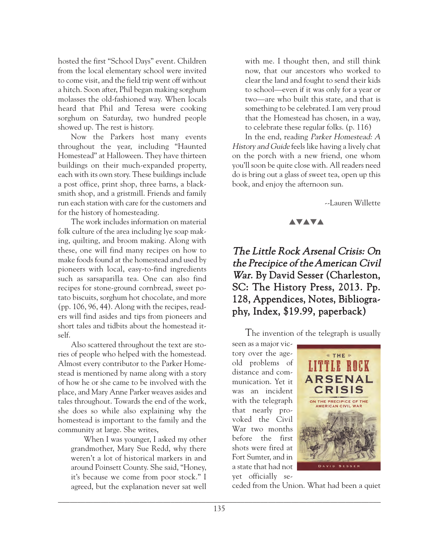hosted the first "School Days" event. Children from the local elementary school were invited to come visit, and the field trip went off without a hitch. Soon after, Phil began making sorghum molasses the old-fashioned way. When locals heard that Phil and Teresa were cooking sorghum on Saturday, two hundred people showed up. The rest is history.

Now the Parkers host many events throughout the year, including "Haunted Homestead" at Halloween. They have thirteen buildings on their much-expanded property, each with its own story. These buildings include a post office, print shop, three barns, a blacksmith shop, and a gristmill. Friends and family run each station with care for the customers and for the history of homesteading.

The work includes information on material folk culture of the area including lye soap making, quilting, and broom making. Along with these, one will find many recipes on how to make foods found at the homestead and used by pioneers with local, easy-to-find ingredients such as sarsaparilla tea. One can also find recipes for stone-ground cornbread, sweet potato biscuits, sorghum hot chocolate, and more (pp. 106, 96, 44). Along with the recipes, readers will find asides and tips from pioneers and short tales and tidbits about the homestead itself.

Also scattered throughout the text are stories of people who helped with the homestead. Almost every contributor to the Parker Homestead is mentioned by name along with a story of how he or she came to be involved with the place, and Mary Anne Parker weaves asides and tales throughout. Towards the end of the work, she does so while also explaining why the homestead is important to the family and the community at large. She writes,

When I was younger, I asked my other grandmother, Mary Sue Redd, why there weren't a lot of historical markers in and around Poinsett County. She said, "Honey, it's because we come from poor stock." I agreed, but the explanation never sat well

with me. I thought then, and still think now, that our ancestors who worked to clear the land and fought to send their kids to school—even if it was only for a year or two—are who built this state, and that is something to be celebrated. I am very proud that the Homestead has chosen, in a way, to celebrate these regular folks. (p. 116)

In the end, reading Parker Homestead: A History and Guide feels like having a lively chat on the porch with a new friend, one whom you'll soon be quite close with. All readers need do is bring out a glass of sweet tea, open up this book, and enjoy the afternoon sun.

--Lauren Willette

#### **AVAVA**

The Little Rock Arsenal Crisis: On the Precipice of the American Civil War. By David Sesser (Charleston, SC: The History Press, 2013. Pp. 128, Appendices, Notes, Bibliography, Index, \$19.99, paperback)

The invention of the telegraph is usually

seen as a major victory over the ageold problems of distance and communication. Yet it was an incident with the telegraph that nearly provoked the Civil War two months before the first shots were fired at Fort Sumter, and in a state that had not yet officially se-



ceded from the Union. What had been a quiet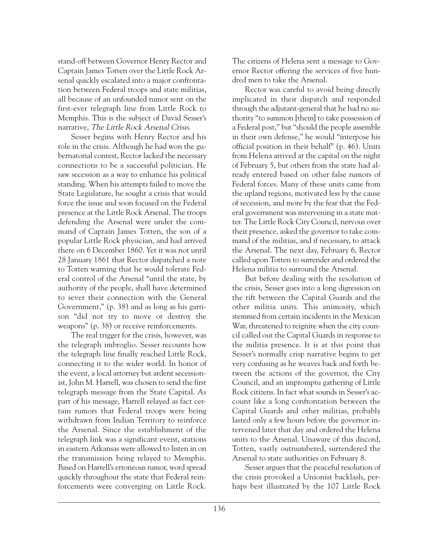stand-off between Governor Henry Rector and Captain James Totten over the Little Rock Arsenal quickly escalated into a major confrontation between Federal troops and state militias, all because of an unfounded rumor sent on the first-ever telegraph line from Little Rock to Memphis. This is the subject of David Sesser's narrative, The Little Rock Arsenal Crisis.

Sesser begins with Henry Rector and his role in the crisis. Although he had won the gubernatorial contest, Rector lacked the necessary connections to be a successful politician. He saw secession as a way to enhance his political standing. When his attempts failed to move the State Legislature, he sought a crisis that would force the issue and soon focused on the Federal presence at the Little Rock Arsenal. The troops defending the Arsenal were under the command of Captain James Totten, the son of a popular Little Rock physician, and had arrived there on 6 December 1860. Yet it was not until 28 January 1861 that Rector dispatched a note to Totten warning that he would tolerate Federal control of the Arsenal "until the state, by authority of the people, shall have determined to sever their connection with the General Government," (p. 38) and as long as his garrison "did not try to move or destroy the weapons" (p. 38) or receive reinforcements.

The real trigger for the crisis, however, was the telegraph imbroglio. Sesser recounts how the telegraph line finally reached Little Rock, connecting it to the wider world. In honor of the event, a local attorney but ardent secessionist, John M. Harrell, was chosen to send the first telegraph message from the State Capital. As part of his message, Harrell relayed as fact certain rumors that Federal troops were being withdrawn from Indian Territory to reinforce the Arsenal. Since the establishment of the telegraph link was a significant event, stations in eastern Arkansas were allowed to listen in on the transmission being relayed to Memphis. Based on Harrell's erroneous rumor, word spread quickly throughout the state that Federal reinforcements were converging on Little Rock.

The citizens of Helena sent a message to Governor Rector offering the services of five hundred men to take the Arsenal.

Rector was careful to avoid being directly implicated in their dispatch and responded through the adjutant-general that he had no authority "to summon [them] to take possession of a Federal post," but "should the people assemble in their own defense," he would "interpose his official position in their behalf" (p. 46). Units from Helena arrived at the capital on the night of February 5, but others from the state had already entered based on other false rumors of Federal forces. Many of these units came from the upland regions, motivated less by the cause of secession, and more by the fear that the Federal government was intervening in a state matter. The Little Rock City Council, nervous over their presence, asked the governor to take command of the militias, and if necessary, to attack the Arsenal. The next day, February 6, Rector called upon Totten to surrender and ordered the Helena militia to surround the Arsenal.

But before dealing with the resolution of the crisis, Sesser goes into a long digression on the rift between the Capital Guards and the other militia units. This animosity, which stemmed from certain incidents in the Mexican War, threatened to reignite when the city council called out the Capital Guards in response to the militia presence. It is at this point that Sesser's normally crisp narrative begins to get very confusing as he weaves back and forth between the actions of the governor, the City Council, and an impromptu gathering of Little Rock citizens. In fact what sounds in Sesser's account like a long confrontation between the Capital Guards and other militias, probably lasted only a few hours before the governor intervened later that day and ordered the Helena units to the Arsenal. Unaware of this discord, Totten, vastly outnumbered, surrendered the Arsenal to state authorities on February 8.

Sesser argues that the peaceful resolution of the crisis provoked a Unionist backlash, perhaps best illustrated by the 107 Little Rock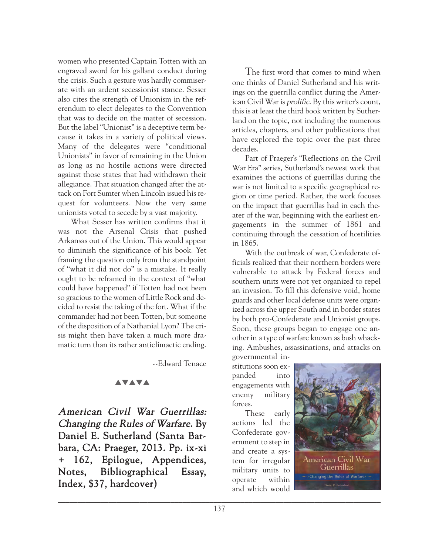women who presented Captain Totten with an engraved sword for his gallant conduct during the crisis. Such a gesture was hardly commiserate with an ardent secessionist stance. Sesser also cites the strength of Unionism in the referendum to elect delegates to the Convention that was to decide on the matter of secession. But the label "Unionist" is a deceptive term because it takes in a variety of political views. Many of the delegates were "conditional Unionists" in favor of remaining in the Union as long as no hostile actions were directed against those states that had withdrawn their allegiance. That situation changed after the attack on Fort Sumter when Lincoln issued his request for volunteers. Now the very same unionists voted to secede by a vast majority.

What Sesser has written confirms that it was not the Arsenal Crisis that pushed Arkansas out of the Union. This would appear to diminish the significance of his book. Yet framing the question only from the standpoint of "what it did not do" is a mistake. It really ought to be reframed in the context of "what could have happened" if Totten had not been so gracious to the women of Little Rock and decided to resist the taking of the fort. What if the commander had not been Totten, but someone of the disposition of a Nathanial Lyon? The crisis might then have taken a much more dramatic turn than its rather anticlimactic ending.

--Edward Tenace

### **AVAVA**

American Civil War Guerrillas: Changing the Rules of Warfare. By Daniel E. Sutherland (Santa Barbara, CA: Praeger, 2013. Pp. ix-xi + 162, Epilogue, Appendices, Notes, Bibliographical Essay, Index, \$37, hardcover)

The first word that comes to mind when one thinks of Daniel Sutherland and his writings on the guerrilla conflict during the American Civil War is prolific. By this writer's count, this is at least the third book written by Sutherland on the topic, not including the numerous articles, chapters, and other publications that have explored the topic over the past three decades.

Part of Praeger's "Reflections on the Civil War Era" series, Sutherland's newest work that examines the actions of guerrillas during the war is not limited to a specific geographical region or time period. Rather, the work focuses on the impact that guerrillas had in each theater of the war, beginning with the earliest engagements in the summer of 1861 and continuing through the cessation of hostilities in 1865.

With the outbreak of war, Confederate officials realized that their northern borders were vulnerable to attack by Federal forces and southern units were not yet organized to repel an invasion. To fill this defensive void, home guards and other local defense units were organized across the upper South and in border states by both pro-Confederate and Unionist groups. Soon, these groups began to engage one another in a type of warfare known as bush whacking. Ambushes, assassinations, and attacks on governmental in-

stitutions soon expanded into engagements with enemy military forces.

These early actions led the Confederate government to step in and create a system for irregular military units to operate within and which would

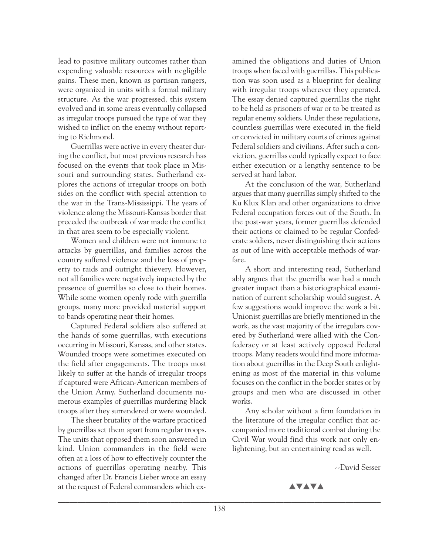lead to positive military outcomes rather than expending valuable resources with negligible gains. These men, known as partisan rangers, were organized in units with a formal military structure. As the war progressed, this system evolved and in some areas eventually collapsed as irregular troops pursued the type of war they wished to inflict on the enemy without reporting to Richmond.

Guerrillas were active in every theater during the conflict, but most previous research has focused on the events that took place in Missouri and surrounding states. Sutherland explores the actions of irregular troops on both sides on the conflict with special attention to the war in the Trans-Mississippi. The years of violence along the Missouri-Kansas border that preceded the outbreak of war made the conflict in that area seem to be especially violent.

Women and children were not immune to attacks by guerrillas, and families across the country suffered violence and the loss of property to raids and outright thievery. However, not all families were negatively impacted by the presence of guerrillas so close to their homes. While some women openly rode with guerrilla groups, many more provided material support to bands operating near their homes.

Captured Federal soldiers also suffered at the hands of some guerrillas, with executions occurring in Missouri, Kansas, and other states. Wounded troops were sometimes executed on the field after engagements. The troops most likely to suffer at the hands of irregular troops if captured were African-American members of the Union Army. Sutherland documents numerous examples of guerrillas murdering black troops after they surrendered or were wounded.

The sheer brutality of the warfare practiced by guerrillas set them apart from regular troops. The units that opposed them soon answered in kind. Union commanders in the field were often at a loss of how to effectively counter the actions of guerrillas operating nearby. This changed after Dr. Francis Lieber wrote an essay at the request of Federal commanders which ex-

amined the obligations and duties of Union troops when faced with guerrillas. This publication was soon used as a blueprint for dealing with irregular troops wherever they operated. The essay denied captured guerrillas the right to be held as prisoners of war or to be treated as regular enemy soldiers. Under these regulations, countless guerrillas were executed in the field or convicted in military courts of crimes against Federal soldiers and civilians. After such a conviction, guerrillas could typically expect to face either execution or a lengthy sentence to be served at hard labor.

At the conclusion of the war, Sutherland argues that many guerrillas simply shifted to the Ku Klux Klan and other organizations to drive Federal occupation forces out of the South. In the post-war years, former guerrillas defended their actions or claimed to be regular Confederate soldiers, never distinguishing their actions as out of line with acceptable methods of warfare.

A short and interesting read, Sutherland ably argues that the guerrilla war had a much greater impact than a historiographical examination of current scholarship would suggest. A few suggestions would improve the work a bit. Unionist guerrillas are briefly mentioned in the work, as the vast majority of the irregulars covered by Sutherland were allied with the Confederacy or at least actively opposed Federal troops. Many readers would find more information about guerrillas in the Deep South enlightening as most of the material in this volume focuses on the conflict in the border states or by groups and men who are discussed in other works.

Any scholar without a firm foundation in the literature of the irregular conflict that accompanied more traditional combat during the Civil War would find this work not only enlightening, but an entertaining read as well.

--David Sesser

**AVAVA**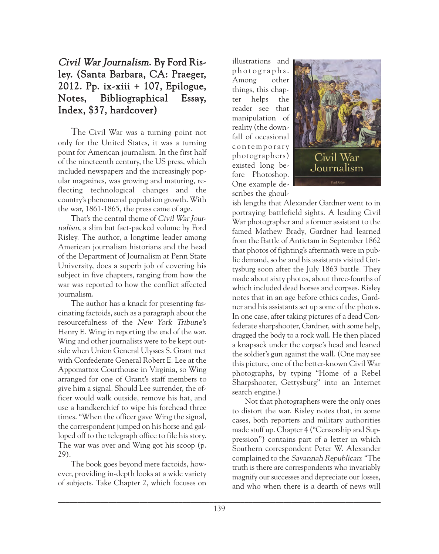## Civil War Journalism. By Ford Risley. (Santa Barbara, CA: Praeger, 2012. Pp. ix-xiii + 107, Epilogue, Notes, Bibliographical Essay, Index, \$37, hardcover)

The Civil War was a turning point not only for the United States, it was a turning point for American journalism. In the first half of the nineteenth century, the US press, which included newspapers and the increasingly popular magazines, was growing and maturing, reflecting technological changes and the country's phenomenal population growth. With the war, 1861-1865, the press came of age.

That's the central theme of Civil War Journalism, a slim but fact-packed volume by Ford Risley. The author, a longtime leader among American journalism historians and the head of the Department of Journalism at Penn State University, does a superb job of covering his subject in five chapters, ranging from how the war was reported to how the conflict affected journalism.

The author has a knack for presenting fascinating factoids, such as a paragraph about the resourcefulness of the New York Tribune's Henry E. Wing in reporting the end of the war. Wing and other journalists were to be kept outside when Union General Ulysses S. Grant met with Confederate General Robert E. Lee at the Appomattox Courthouse in Virginia, so Wing arranged for one of Grant's staff members to give him a signal. Should Lee surrender, the officer would walk outside, remove his hat, and use a handkerchief to wipe his forehead three times. "When the officer gave Wing the signal, the correspondent jumped on his horse and galloped off to the telegraph office to file his story. The war was over and Wing got his scoop (p. 29).

The book goes beyond mere factoids, however, providing in-depth looks at a wide variety of subjects. Take Chapter 2, which focuses on

illustrations and p h o t o g r a p h s . Among other things, this chapter helps the reader see that manipulation of reality (the downfall of occasional c o n t e m p o r a r y photographers) existed long before Photoshop. One example describes the ghoul-



ish lengths that Alexander Gardner went to in portraying battlefield sights. A leading Civil War photographer and a former assistant to the famed Mathew Brady, Gardner had learned from the Battle of Antietam in September 1862 that photos of fighting's aftermath were in public demand, so he and his assistants visited Gettysburg soon after the July 1863 battle. They made about sixty photos, about three-fourths of which included dead horses and corpses. Risley notes that in an age before ethics codes, Gardner and his assistants set up some of the photos. In one case, after taking pictures of a dead Confederate sharpshooter, Gardner, with some help, dragged the body to a rock wall. He then placed a knapsack under the corpse's head and leaned the soldier's gun against the wall. (One may see this picture, one of the better-known Civil War photographs, by typing "Home of a Rebel Sharpshooter, Gettysburg" into an Internet search engine.)

Not that photographers were the only ones to distort the war. Risley notes that, in some cases, both reporters and military authorities made stuff up. Chapter 4 ("Censorship and Suppression") contains part of a letter in which Southern correspondent Peter W. Alexander complained to the Savannah Republican: "The truth is there are correspondents who invariably magnify our successes and depreciate our losses, and who when there is a dearth of news will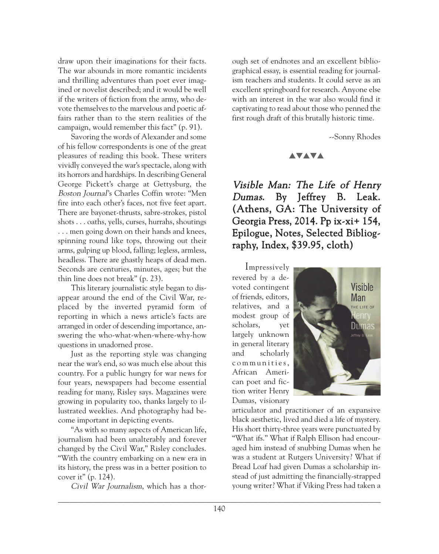draw upon their imaginations for their facts. The war abounds in more romantic incidents and thrilling adventures than poet ever imagined or novelist described; and it would be well if the writers of fiction from the army, who devote themselves to the marvelous and poetic affairs rather than to the stern realities of the campaign, would remember this fact" (p. 91).

Savoring the words of Alexander and some of his fellow correspondents is one of the great pleasures of reading this book. These writers vividly conveyed the war's spectacle, along with its horrors and hardships. In describing General George Pickett's charge at Gettysburg, the Boston Journal's Charles Coffin wrote: "Men fire into each other's faces, not five feet apart. There are bayonet-thrusts, sabre-strokes, pistol shots . . . oaths, yells, curses, hurrahs, shoutings . . . men going down on their hands and knees, spinning round like tops, throwing out their arms, gulping up blood, falling; legless, armless, headless. There are ghastly heaps of dead men. Seconds are centuries, minutes, ages; but the thin line does not break" (p. 23).

This literary journalistic style began to disappear around the end of the Civil War, replaced by the inverted pyramid form of reporting in which a news article's facts are arranged in order of descending importance, answering the who-what-when-where-why-how questions in unadorned prose.

Just as the reporting style was changing near the war's end, so was much else about this country. For a public hungry for war news for four years, newspapers had become essential reading for many, Risley says. Magazines were growing in popularity too, thanks largely to illustrated weeklies. And photography had become important in depicting events.

"As with so many aspects of American life, journalism had been unalterably and forever changed by the Civil War," Risley concludes. "With the country embarking on a new era in its history, the press was in a better position to cover it" (p. 124).

Civil War Journalism, which has a thor-

ough set of endnotes and an excellent bibliographical essay, is essential reading for journalism teachers and students. It could serve as an excellent springboard for research. Anyone else with an interest in the war also would find it captivating to read about those who penned the first rough draft of this brutally historic time.

--Sonny Rhodes

#### **AVAVA**

Visible Man: The Life of Henry Dumas. By Jeffrey B. Leak. (Athens, GA: The University of Georgia Press, 2014. Pp ix-xi+ 154, Epilogue, Notes, Selected Bibliography, Index, \$39.95, cloth)

Impressively revered by a devoted contingent of friends, editors, relatives, and a modest group of scholars, yet largely unknown in general literary and scholarly communities, African American poet and fiction writer Henry Dumas, visionary



articulator and practitioner of an expansive black aesthetic, lived and died a life of mystery. His short thirty-three years were punctuated by "What ifs." What if Ralph Ellison had encouraged him instead of snubbing Dumas when he was a student at Rutgers University? What if Bread Loaf had given Dumas a scholarship instead of just admitting the financially-strapped young writer? What if Viking Press had taken a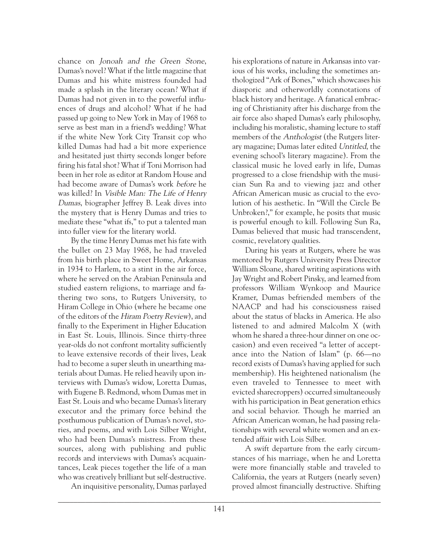chance on Jonoah and the Green Stone, Dumas's novel? What if the little magazine that Dumas and his white mistress founded had made a splash in the literary ocean? What if Dumas had not given in to the powerful influences of drugs and alcohol? What if he had passed up going to New York in May of 1968 to serve as best man in a friend's wedding? What if the white New York City Transit cop who killed Dumas had had a bit more experience and hesitated just thirty seconds longer before firing his fatal shot? What if Toni Morrison had been in her role as editor at Random House and had become aware of Dumas's work before he was killed? In Visible Man: The Life of Henry Dumas, biographer Jeffrey B. Leak dives into the mystery that is Henry Dumas and tries to mediate these "what ifs," to put a talented man into fuller view for the literary world.

By the time Henry Dumas met his fate with the bullet on 23 May 1968, he had traveled from his birth place in Sweet Home, Arkansas in 1934 to Harlem, to a stint in the air force, where he served on the Arabian Peninsula and studied eastern religions, to marriage and fathering two sons, to Rutgers University, to Hiram College in Ohio (where he became one of the editors of the Hiram Poetry Review), and finally to the Experiment in Higher Education in East St. Louis, Illinois. Since thirty-three year-olds do not confront mortality sufficiently to leave extensive records of their lives, Leak had to become a super sleuth in unearthing materials about Dumas. He relied heavily upon interviews with Dumas's widow, Loretta Dumas, with Eugene B. Redmond, whom Dumas met in East St. Louis and who became Dumas's literary executor and the primary force behind the posthumous publication of Dumas's novel, stories, and poems, and with Lois Silber Wright, who had been Dumas's mistress. From these sources, along with publishing and public records and interviews with Dumas's acquaintances, Leak pieces together the life of a man who was creatively brilliant but self-destructive.

An inquisitive personality, Dumas parlayed

his explorations of nature in Arkansas into various of his works, including the sometimes anthologized "Ark of Bones," which showcases his diasporic and otherworldly connotations of black history and heritage. A fanatical embracing of Christianity after his discharge from the air force also shaped Dumas's early philosophy, including his moralistic, shaming lecture to staff members of the Anthologist (the Rutgers literary magazine; Dumas later edited Untitled, the evening school's literary magazine). From the classical music he loved early in life, Dumas progressed to a close friendship with the musician Sun Ra and to viewing jazz and other African American music as crucial to the evolution of his aesthetic. In "Will the Circle Be Unbroken?," for example, he posits that music is powerful enough to kill. Following Sun Ra, Dumas believed that music had transcendent, cosmic, revelatory qualities.

During his years at Rutgers, where he was mentored by Rutgers University Press Director William Sloane, shared writing aspirations with Jay Wright and Robert Pinsky, and learned from professors William Wynkoop and Maurice Kramer, Dumas befriended members of the NAACP and had his consciousness raised about the status of blacks in America. He also listened to and admired Malcolm X (with whom he shared a three-hour dinner on one occasion) and even received "a letter of acceptance into the Nation of Islam" (p. 66—no record exists of Dumas's having applied for such membership). His heightened nationalism (he even traveled to Tennessee to meet with evicted sharecroppers) occurred simultaneously with his participation in Beat generation ethics and social behavior. Though he married an African American woman, he had passing relationships with several white women and an extended affair with Lois Silber.

A swift departure from the early circumstances of his marriage, when he and Loretta were more financially stable and traveled to California, the years at Rutgers (nearly seven) proved almost financially destructive. Shifting